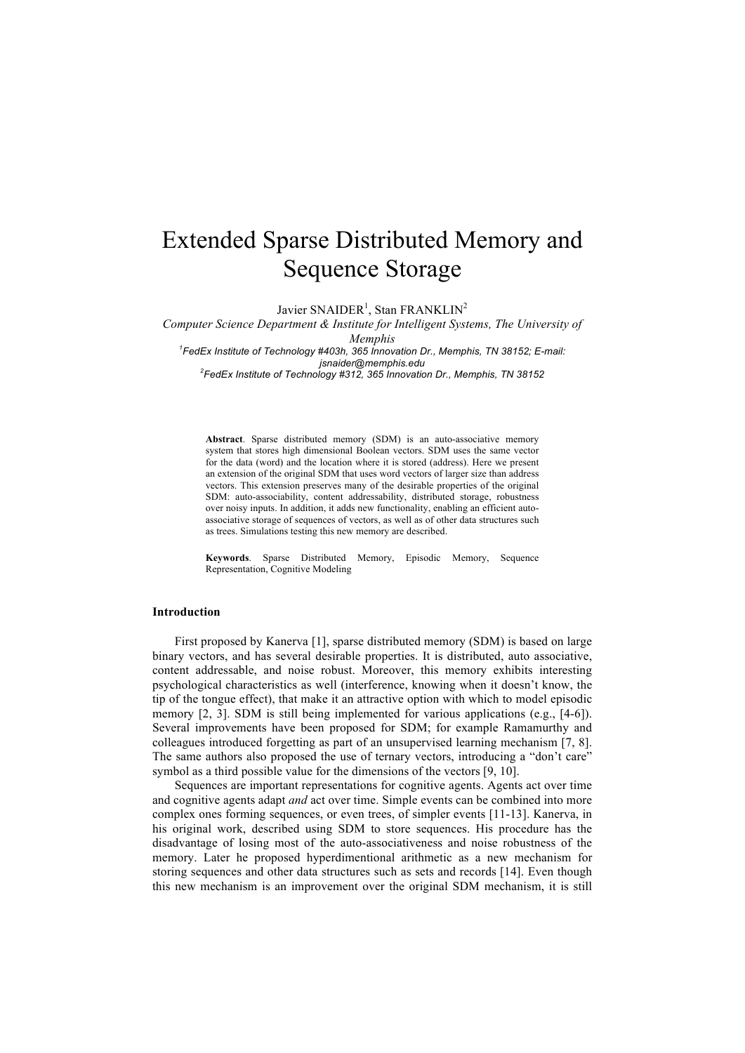# Extended Sparse Distributed Memory and Sequence Storage

Javier SNAIDER<sup>1</sup>, Stan FRANKLIN<sup>2</sup>

*Computer Science Department & Institute for Intelligent Systems, The University of Memphis <sup>1</sup> FedEx Institute of Technology #403h, 365 Innovation Dr., Memphis, TN 38152; E-mail:*

*jsnaider@memphis.edu <sup>2</sup> FedEx Institute of Technology #312, 365 Innovation Dr., Memphis, TN 38152*

**Abstract**. Sparse distributed memory (SDM) is an auto-associative memory system that stores high dimensional Boolean vectors. SDM uses the same vector for the data (word) and the location where it is stored (address). Here we present an extension of the original SDM that uses word vectors of larger size than address vectors. This extension preserves many of the desirable properties of the original SDM: auto-associability, content addressability, distributed storage, robustness over noisy inputs. In addition, it adds new functionality, enabling an efficient autoassociative storage of sequences of vectors, as well as of other data structures such as trees. Simulations testing this new memory are described.

**Keywords**. Sparse Distributed Memory, Episodic Memory, Sequence Representation, Cognitive Modeling

# **Introduction**

First proposed by Kanerva [1], sparse distributed memory (SDM) is based on large binary vectors, and has several desirable properties. It is distributed, auto associative, content addressable, and noise robust. Moreover, this memory exhibits interesting psychological characteristics as well (interference, knowing when it doesn't know, the tip of the tongue effect), that make it an attractive option with which to model episodic memory [2, 3]. SDM is still being implemented for various applications (e.g., [4-6]). Several improvements have been proposed for SDM; for example Ramamurthy and colleagues introduced forgetting as part of an unsupervised learning mechanism [7, 8]. The same authors also proposed the use of ternary vectors, introducing a "don't care" symbol as a third possible value for the dimensions of the vectors [9, 10].

Sequences are important representations for cognitive agents. Agents act over time and cognitive agents adapt *and* act over time. Simple events can be combined into more complex ones forming sequences, or even trees, of simpler events [11-13]. Kanerva, in his original work, described using SDM to store sequences. His procedure has the disadvantage of losing most of the auto-associativeness and noise robustness of the memory. Later he proposed hyperdimentional arithmetic as a new mechanism for storing sequences and other data structures such as sets and records [14]. Even though this new mechanism is an improvement over the original SDM mechanism, it is still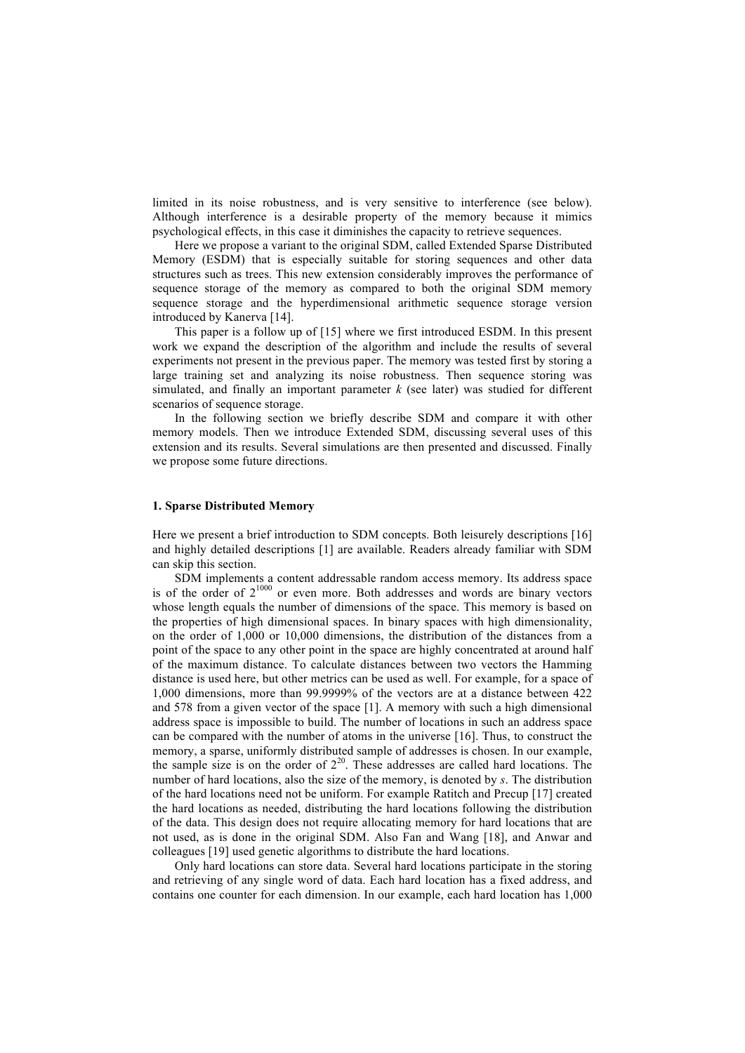limited in its noise robustness, and is very sensitive to interference (see below). Although interference is a desirable property of the memory because it mimics psychological effects, in this case it diminishes the capacity to retrieve sequences.

Here we propose a variant to the original SDM, called Extended Sparse Distributed Memory (ESDM) that is especially suitable for storing sequences and other data structures such as trees. This new extension considerably improves the performance of sequence storage of the memory as compared to both the original SDM memory sequence storage and the hyperdimensional arithmetic sequence storage version introduced by Kanerva [14].

This paper is a follow up of [15] where we first introduced ESDM. In this present work we expand the description of the algorithm and include the results of several experiments not present in the previous paper. The memory was tested first by storing a large training set and analyzing its noise robustness. Then sequence storing was simulated, and finally an important parameter *k* (see later) was studied for different scenarios of sequence storage.

In the following section we briefly describe SDM and compare it with other memory models. Then we introduce Extended SDM, discussing several uses of this extension and its results. Several simulations are then presented and discussed. Finally we propose some future directions.

# **1. Sparse Distributed Memory**

Here we present a brief introduction to SDM concepts. Both leisurely descriptions [16] and highly detailed descriptions [1] are available. Readers already familiar with SDM can skip this section.

SDM implements a content addressable random access memory. Its address space is of the order of  $2^{1000}$  or even more. Both addresses and words are binary vectors whose length equals the number of dimensions of the space. This memory is based on the properties of high dimensional spaces. In binary spaces with high dimensionality, on the order of 1,000 or 10,000 dimensions, the distribution of the distances from a point of the space to any other point in the space are highly concentrated at around half of the maximum distance. To calculate distances between two vectors the Hamming distance is used here, but other metrics can be used as well. For example, for a space of 1,000 dimensions, more than 99.9999% of the vectors are at a distance between 422 and 578 from a given vector of the space [1]. A memory with such a high dimensional address space is impossible to build. The number of locations in such an address space can be compared with the number of atoms in the universe [16]. Thus, to construct the memory, a sparse, uniformly distributed sample of addresses is chosen. In our example, the sample size is on the order of  $2^{20}$ . These addresses are called hard locations. The number of hard locations, also the size of the memory, is denoted by *s*. The distribution of the hard locations need not be uniform. For example Ratitch and Precup [17] created the hard locations as needed, distributing the hard locations following the distribution of the data. This design does not require allocating memory for hard locations that are not used, as is done in the original SDM. Also Fan and Wang [18], and Anwar and colleagues [19] used genetic algorithms to distribute the hard locations.

Only hard locations can store data. Several hard locations participate in the storing and retrieving of any single word of data. Each hard location has a fixed address, and contains one counter for each dimension. In our example, each hard location has 1,000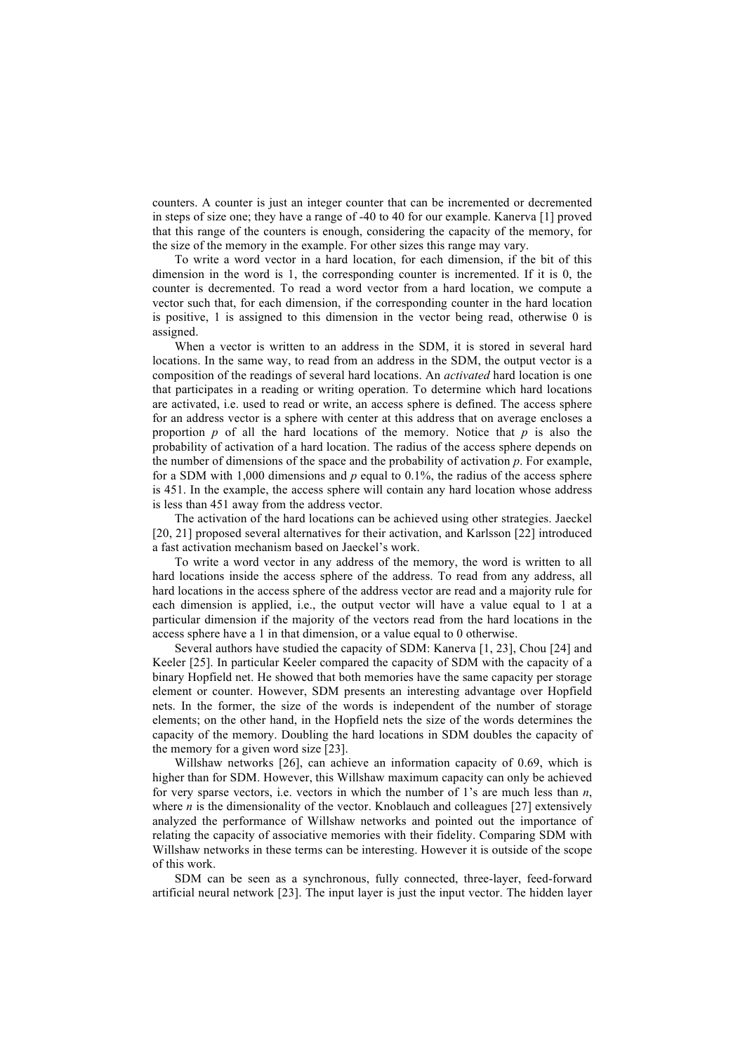counters. A counter is just an integer counter that can be incremented or decremented in steps of size one; they have a range of -40 to 40 for our example. Kanerva [1] proved that this range of the counters is enough, considering the capacity of the memory, for the size of the memory in the example. For other sizes this range may vary.

To write a word vector in a hard location, for each dimension, if the bit of this dimension in the word is 1, the corresponding counter is incremented. If it is 0, the counter is decremented. To read a word vector from a hard location, we compute a vector such that, for each dimension, if the corresponding counter in the hard location is positive, 1 is assigned to this dimension in the vector being read, otherwise 0 is assigned.

When a vector is written to an address in the SDM, it is stored in several hard locations. In the same way, to read from an address in the SDM, the output vector is a composition of the readings of several hard locations. An *activated* hard location is one that participates in a reading or writing operation. To determine which hard locations are activated, i.e. used to read or write, an access sphere is defined. The access sphere for an address vector is a sphere with center at this address that on average encloses a proportion *p* of all the hard locations of the memory. Notice that *p* is also the probability of activation of a hard location. The radius of the access sphere depends on the number of dimensions of the space and the probability of activation *p*. For example, for a SDM with 1,000 dimensions and *p* equal to 0.1%, the radius of the access sphere is 451. In the example, the access sphere will contain any hard location whose address is less than 451 away from the address vector.

The activation of the hard locations can be achieved using other strategies. Jaeckel [20, 21] proposed several alternatives for their activation, and Karlsson [22] introduced a fast activation mechanism based on Jaeckel's work.

To write a word vector in any address of the memory, the word is written to all hard locations inside the access sphere of the address. To read from any address, all hard locations in the access sphere of the address vector are read and a majority rule for each dimension is applied, i.e., the output vector will have a value equal to 1 at a particular dimension if the majority of the vectors read from the hard locations in the access sphere have a 1 in that dimension, or a value equal to 0 otherwise.

Several authors have studied the capacity of SDM: Kanerva [1, 23], Chou [24] and Keeler [25]. In particular Keeler compared the capacity of SDM with the capacity of a binary Hopfield net. He showed that both memories have the same capacity per storage element or counter. However, SDM presents an interesting advantage over Hopfield nets. In the former, the size of the words is independent of the number of storage elements; on the other hand, in the Hopfield nets the size of the words determines the capacity of the memory. Doubling the hard locations in SDM doubles the capacity of the memory for a given word size [23].

Willshaw networks [26], can achieve an information capacity of 0.69, which is higher than for SDM. However, this Willshaw maximum capacity can only be achieved for very sparse vectors, i.e. vectors in which the number of 1's are much less than *n*, where  $n$  is the dimensionality of the vector. Knoblauch and colleagues [27] extensively analyzed the performance of Willshaw networks and pointed out the importance of relating the capacity of associative memories with their fidelity. Comparing SDM with Willshaw networks in these terms can be interesting. However it is outside of the scope of this work.

SDM can be seen as a synchronous, fully connected, three-layer, feed-forward artificial neural network [23]. The input layer is just the input vector. The hidden layer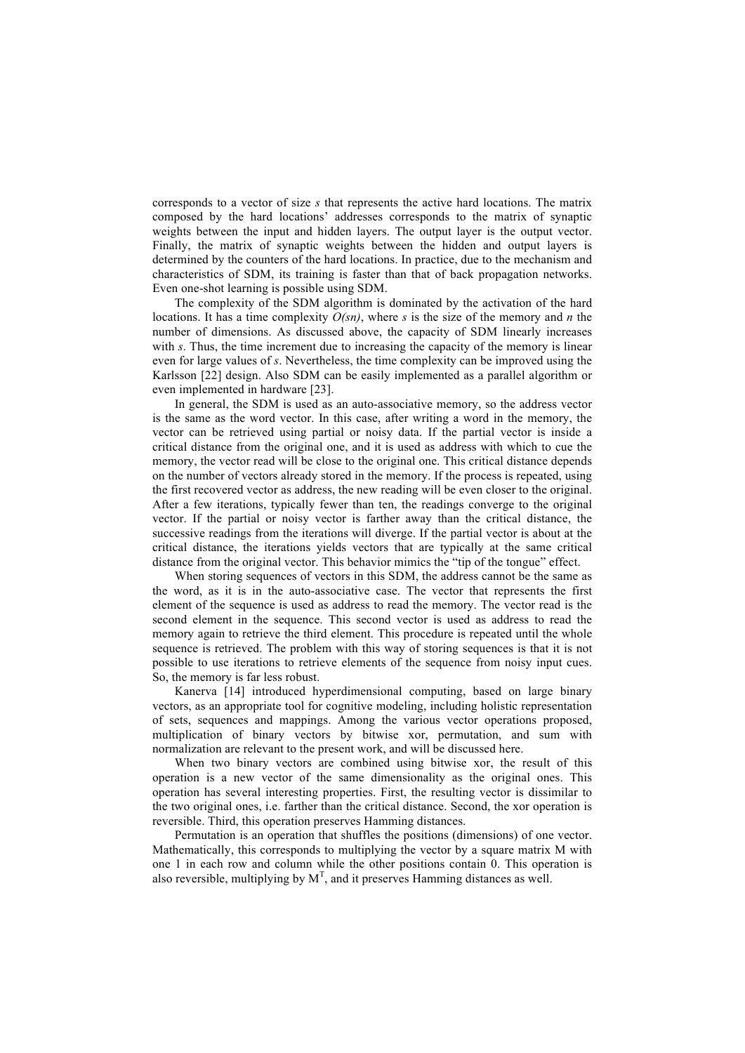corresponds to a vector of size *s* that represents the active hard locations. The matrix composed by the hard locations' addresses corresponds to the matrix of synaptic weights between the input and hidden layers. The output layer is the output vector. Finally, the matrix of synaptic weights between the hidden and output layers is determined by the counters of the hard locations. In practice, due to the mechanism and characteristics of SDM, its training is faster than that of back propagation networks. Even one-shot learning is possible using SDM.

The complexity of the SDM algorithm is dominated by the activation of the hard locations. It has a time complexity *O(sn)*, where *s* is the size of the memory and *n* the number of dimensions. As discussed above, the capacity of SDM linearly increases with *s*. Thus, the time increment due to increasing the capacity of the memory is linear even for large values of *s*. Nevertheless, the time complexity can be improved using the Karlsson [22] design. Also SDM can be easily implemented as a parallel algorithm or even implemented in hardware [23].

In general, the SDM is used as an auto-associative memory, so the address vector is the same as the word vector. In this case, after writing a word in the memory, the vector can be retrieved using partial or noisy data. If the partial vector is inside a critical distance from the original one, and it is used as address with which to cue the memory, the vector read will be close to the original one. This critical distance depends on the number of vectors already stored in the memory. If the process is repeated, using the first recovered vector as address, the new reading will be even closer to the original. After a few iterations, typically fewer than ten, the readings converge to the original vector. If the partial or noisy vector is farther away than the critical distance, the successive readings from the iterations will diverge. If the partial vector is about at the critical distance, the iterations yields vectors that are typically at the same critical distance from the original vector. This behavior mimics the "tip of the tongue" effect.

When storing sequences of vectors in this SDM, the address cannot be the same as the word, as it is in the auto-associative case. The vector that represents the first element of the sequence is used as address to read the memory. The vector read is the second element in the sequence. This second vector is used as address to read the memory again to retrieve the third element. This procedure is repeated until the whole sequence is retrieved. The problem with this way of storing sequences is that it is not possible to use iterations to retrieve elements of the sequence from noisy input cues. So, the memory is far less robust.

Kanerva [14] introduced hyperdimensional computing, based on large binary vectors, as an appropriate tool for cognitive modeling, including holistic representation of sets, sequences and mappings. Among the various vector operations proposed, multiplication of binary vectors by bitwise xor, permutation, and sum with normalization are relevant to the present work, and will be discussed here.

When two binary vectors are combined using bitwise xor, the result of this operation is a new vector of the same dimensionality as the original ones. This operation has several interesting properties. First, the resulting vector is dissimilar to the two original ones, i.e. farther than the critical distance. Second, the xor operation is reversible. Third, this operation preserves Hamming distances.

Permutation is an operation that shuffles the positions (dimensions) of one vector. Mathematically, this corresponds to multiplying the vector by a square matrix M with one 1 in each row and column while the other positions contain 0. This operation is also reversible, multiplying by  $M<sup>T</sup>$ , and it preserves Hamming distances as well.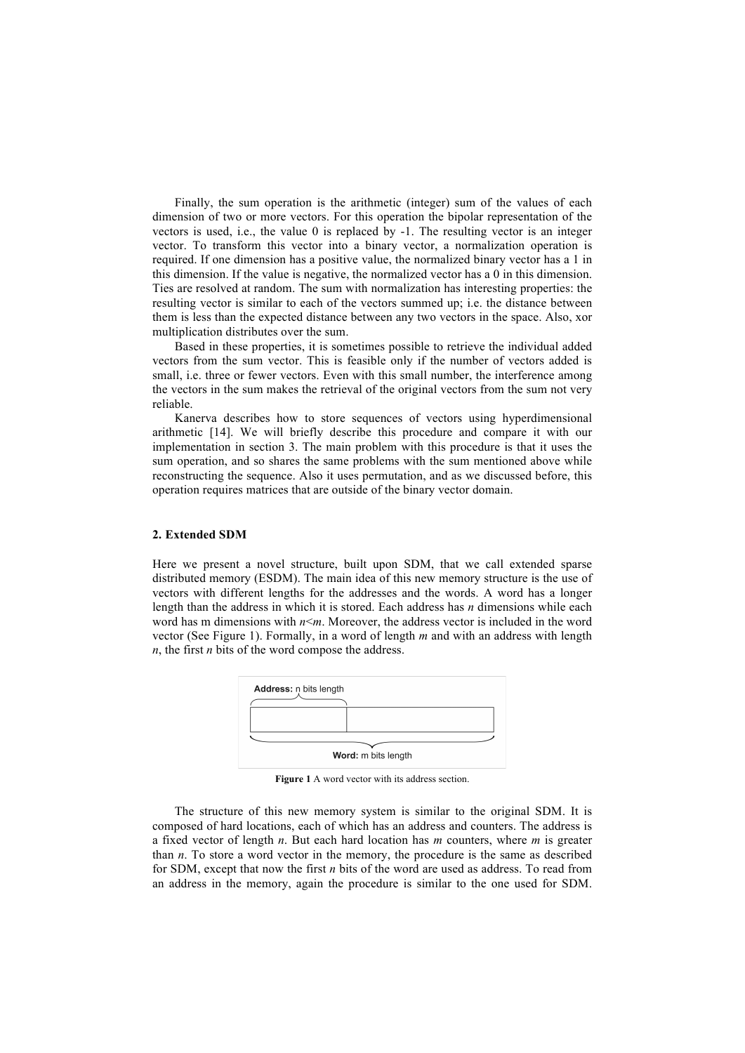Finally, the sum operation is the arithmetic (integer) sum of the values of each dimension of two or more vectors. For this operation the bipolar representation of the vectors is used, i.e., the value 0 is replaced by -1. The resulting vector is an integer vector. To transform this vector into a binary vector, a normalization operation is required. If one dimension has a positive value, the normalized binary vector has a 1 in this dimension. If the value is negative, the normalized vector has a 0 in this dimension. Ties are resolved at random. The sum with normalization has interesting properties: the resulting vector is similar to each of the vectors summed up; i.e. the distance between them is less than the expected distance between any two vectors in the space. Also, xor multiplication distributes over the sum.

Based in these properties, it is sometimes possible to retrieve the individual added vectors from the sum vector. This is feasible only if the number of vectors added is small, i.e. three or fewer vectors. Even with this small number, the interference among the vectors in the sum makes the retrieval of the original vectors from the sum not very reliable.

Kanerva describes how to store sequences of vectors using hyperdimensional arithmetic [14]. We will briefly describe this procedure and compare it with our implementation in section 3. The main problem with this procedure is that it uses the sum operation, and so shares the same problems with the sum mentioned above while reconstructing the sequence. Also it uses permutation, and as we discussed before, this operation requires matrices that are outside of the binary vector domain.

# **2. Extended SDM**

Here we present a novel structure, built upon SDM, that we call extended sparse distributed memory (ESDM). The main idea of this new memory structure is the use of vectors with different lengths for the addresses and the words. A word has a longer length than the address in which it is stored. Each address has *n* dimensions while each word has m dimensions with *n*<*m*. Moreover, the address vector is included in the word vector (See Figure 1). Formally, in a word of length *m* and with an address with length *n*, the first *n* bits of the word compose the address.



**Figure 1** A word vector with its address section.

The structure of this new memory system is similar to the original SDM. It is composed of hard locations, each of which has an address and counters. The address is a fixed vector of length *n*. But each hard location has *m* counters, where *m* is greater than *n*. To store a word vector in the memory, the procedure is the same as described for SDM, except that now the first *n* bits of the word are used as address. To read from an address in the memory, again the procedure is similar to the one used for SDM.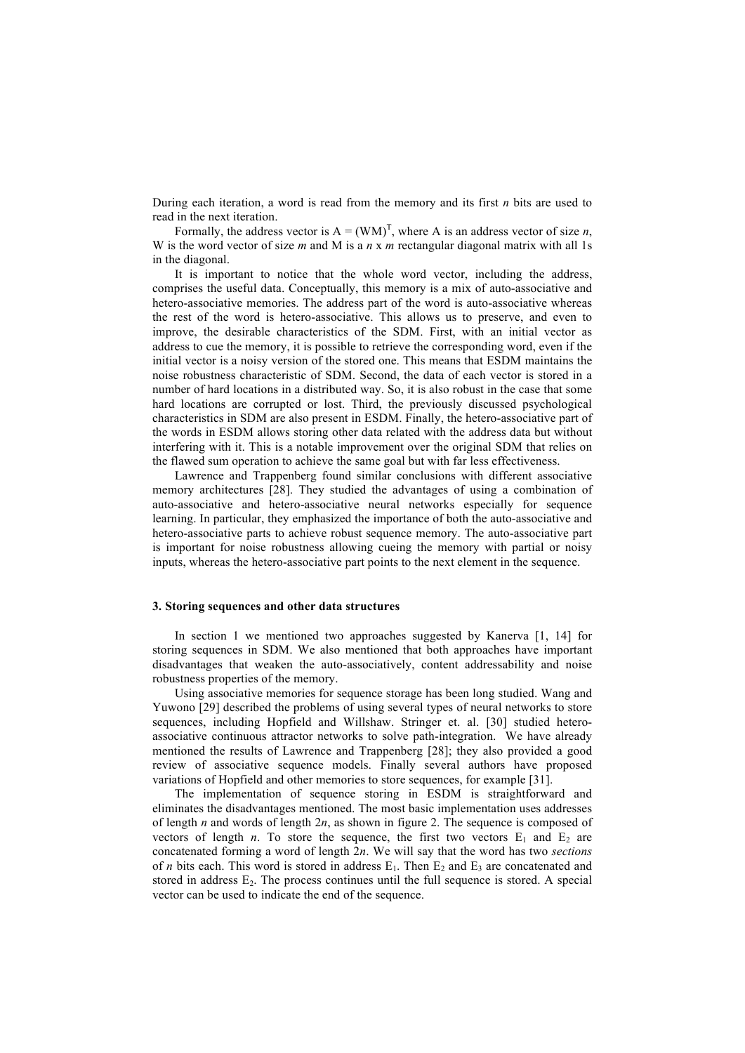During each iteration, a word is read from the memory and its first *n* bits are used to read in the next iteration.

Formally, the address vector is  $A = (WM)^T$ , where A is an address vector of size *n*, W is the word vector of size *m* and M is a *n* x *m* rectangular diagonal matrix with all 1s in the diagonal.

It is important to notice that the whole word vector, including the address, comprises the useful data. Conceptually, this memory is a mix of auto-associative and hetero-associative memories. The address part of the word is auto-associative whereas the rest of the word is hetero-associative. This allows us to preserve, and even to improve, the desirable characteristics of the SDM. First, with an initial vector as address to cue the memory, it is possible to retrieve the corresponding word, even if the initial vector is a noisy version of the stored one. This means that ESDM maintains the noise robustness characteristic of SDM. Second, the data of each vector is stored in a number of hard locations in a distributed way. So, it is also robust in the case that some hard locations are corrupted or lost. Third, the previously discussed psychological characteristics in SDM are also present in ESDM. Finally, the hetero-associative part of the words in ESDM allows storing other data related with the address data but without interfering with it. This is a notable improvement over the original SDM that relies on the flawed sum operation to achieve the same goal but with far less effectiveness.

Lawrence and Trappenberg found similar conclusions with different associative memory architectures [28]. They studied the advantages of using a combination of auto-associative and hetero-associative neural networks especially for sequence learning. In particular, they emphasized the importance of both the auto-associative and hetero-associative parts to achieve robust sequence memory. The auto-associative part is important for noise robustness allowing cueing the memory with partial or noisy inputs, whereas the hetero-associative part points to the next element in the sequence.

## **3. Storing sequences and other data structures**

In section 1 we mentioned two approaches suggested by Kanerva [1, 14] for storing sequences in SDM. We also mentioned that both approaches have important disadvantages that weaken the auto-associatively, content addressability and noise robustness properties of the memory.

Using associative memories for sequence storage has been long studied. Wang and Yuwono [29] described the problems of using several types of neural networks to store sequences, including Hopfield and Willshaw. Stringer et. al. [30] studied heteroassociative continuous attractor networks to solve path-integration. We have already mentioned the results of Lawrence and Trappenberg [28]; they also provided a good review of associative sequence models. Finally several authors have proposed variations of Hopfield and other memories to store sequences, for example [31].

The implementation of sequence storing in ESDM is straightforward and eliminates the disadvantages mentioned. The most basic implementation uses addresses of length *n* and words of length 2*n*, as shown in figure 2. The sequence is composed of vectors of length  $n$ . To store the sequence, the first two vectors  $E_1$  and  $E_2$  are concatenated forming a word of length 2*n*. We will say that the word has two *sections* of *n* bits each. This word is stored in address  $E_1$ . Then  $E_2$  and  $E_3$  are concatenated and stored in address  $E_2$ . The process continues until the full sequence is stored. A special vector can be used to indicate the end of the sequence.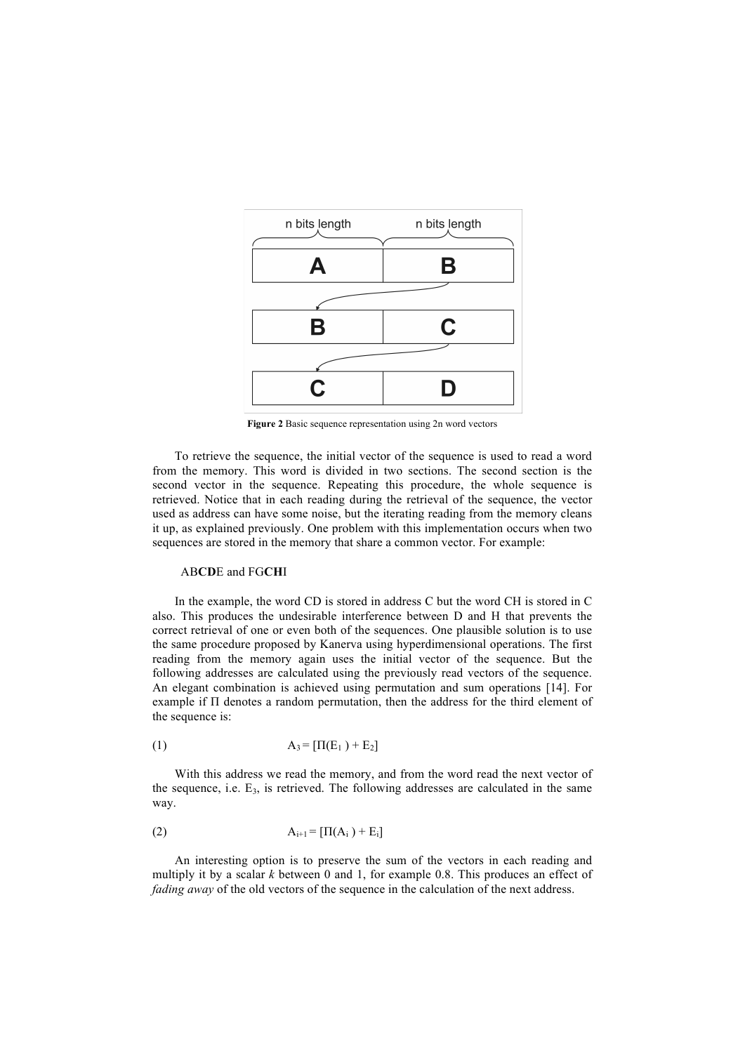

**Figure 2** Basic sequence representation using 2n word vectors

To retrieve the sequence, the initial vector of the sequence is used to read a word from the memory. This word is divided in two sections. The second section is the second vector in the sequence. Repeating this procedure, the whole sequence is retrieved. Notice that in each reading during the retrieval of the sequence, the vector used as address can have some noise, but the iterating reading from the memory cleans it up, as explained previously. One problem with this implementation occurs when two sequences are stored in the memory that share a common vector. For example:

# AB**CD**E and FG**CH**I

In the example, the word CD is stored in address C but the word CH is stored in C also. This produces the undesirable interference between D and H that prevents the correct retrieval of one or even both of the sequences. One plausible solution is to use the same procedure proposed by Kanerva using hyperdimensional operations. The first reading from the memory again uses the initial vector of the sequence. But the following addresses are calculated using the previously read vectors of the sequence. An elegant combination is achieved using permutation and sum operations [14]. For example if Π denotes a random permutation, then the address for the third element of the sequence is:

(1) 
$$
A_3 = [\Pi(E_1) + E_2]
$$

With this address we read the memory, and from the word read the next vector of the sequence, i.e.  $E_3$ , is retrieved. The following addresses are calculated in the same way.

(2) 
$$
A_{i+1} = [\Pi(A_i) + E_i]
$$

An interesting option is to preserve the sum of the vectors in each reading and multiply it by a scalar *k* between 0 and 1, for example 0.8. This produces an effect of *fading away* of the old vectors of the sequence in the calculation of the next address.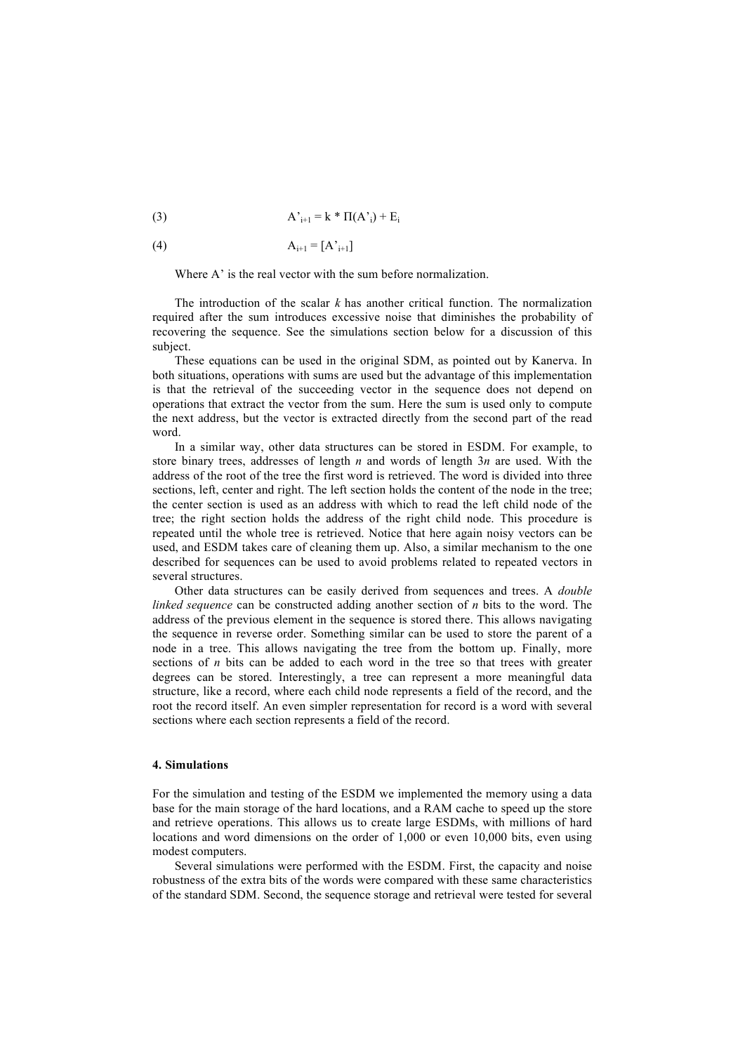(3) 
$$
A'_{i+1} = k * \Pi(A'_{i}) + E_{i}
$$

(4) 
$$
A_{i+1} = [A'_{i+1}]
$$

Where A' is the real vector with the sum before normalization.

The introduction of the scalar *k* has another critical function. The normalization required after the sum introduces excessive noise that diminishes the probability of recovering the sequence. See the simulations section below for a discussion of this subject.

These equations can be used in the original SDM, as pointed out by Kanerva. In both situations, operations with sums are used but the advantage of this implementation is that the retrieval of the succeeding vector in the sequence does not depend on operations that extract the vector from the sum. Here the sum is used only to compute the next address, but the vector is extracted directly from the second part of the read word.

In a similar way, other data structures can be stored in ESDM. For example, to store binary trees, addresses of length *n* and words of length 3*n* are used. With the address of the root of the tree the first word is retrieved. The word is divided into three sections, left, center and right. The left section holds the content of the node in the tree; the center section is used as an address with which to read the left child node of the tree; the right section holds the address of the right child node. This procedure is repeated until the whole tree is retrieved. Notice that here again noisy vectors can be used, and ESDM takes care of cleaning them up. Also, a similar mechanism to the one described for sequences can be used to avoid problems related to repeated vectors in several structures.

Other data structures can be easily derived from sequences and trees. A *double linked sequence* can be constructed adding another section of *n* bits to the word. The address of the previous element in the sequence is stored there. This allows navigating the sequence in reverse order. Something similar can be used to store the parent of a node in a tree. This allows navigating the tree from the bottom up. Finally, more sections of *n* bits can be added to each word in the tree so that trees with greater degrees can be stored. Interestingly, a tree can represent a more meaningful data structure, like a record, where each child node represents a field of the record, and the root the record itself. An even simpler representation for record is a word with several sections where each section represents a field of the record.

# **4. Simulations**

For the simulation and testing of the ESDM we implemented the memory using a data base for the main storage of the hard locations, and a RAM cache to speed up the store and retrieve operations. This allows us to create large ESDMs, with millions of hard locations and word dimensions on the order of 1,000 or even 10,000 bits, even using modest computers.

Several simulations were performed with the ESDM. First, the capacity and noise robustness of the extra bits of the words were compared with these same characteristics of the standard SDM. Second, the sequence storage and retrieval were tested for several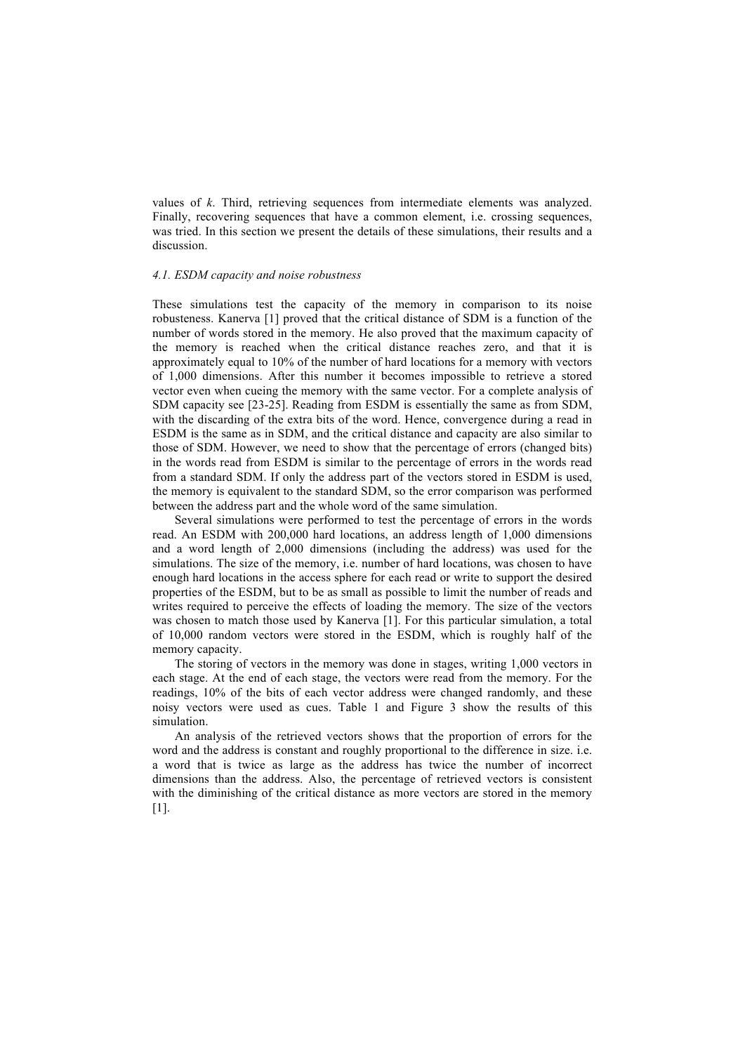values of *k*. Third, retrieving sequences from intermediate elements was analyzed. Finally, recovering sequences that have a common element, i.e. crossing sequences, was tried. In this section we present the details of these simulations, their results and a discussion.

## *4.1. ESDM capacity and noise robustness*

These simulations test the capacity of the memory in comparison to its noise robusteness. Kanerva [1] proved that the critical distance of SDM is a function of the number of words stored in the memory. He also proved that the maximum capacity of the memory is reached when the critical distance reaches zero, and that it is approximately equal to 10% of the number of hard locations for a memory with vectors of 1,000 dimensions. After this number it becomes impossible to retrieve a stored vector even when cueing the memory with the same vector. For a complete analysis of SDM capacity see [23-25]. Reading from ESDM is essentially the same as from SDM, with the discarding of the extra bits of the word. Hence, convergence during a read in ESDM is the same as in SDM, and the critical distance and capacity are also similar to those of SDM. However, we need to show that the percentage of errors (changed bits) in the words read from ESDM is similar to the percentage of errors in the words read from a standard SDM. If only the address part of the vectors stored in ESDM is used, the memory is equivalent to the standard SDM, so the error comparison was performed between the address part and the whole word of the same simulation.

Several simulations were performed to test the percentage of errors in the words read. An ESDM with 200,000 hard locations, an address length of 1,000 dimensions and a word length of 2,000 dimensions (including the address) was used for the simulations. The size of the memory, i.e. number of hard locations, was chosen to have enough hard locations in the access sphere for each read or write to support the desired properties of the ESDM, but to be as small as possible to limit the number of reads and writes required to perceive the effects of loading the memory. The size of the vectors was chosen to match those used by Kanerva [1]. For this particular simulation, a total of 10,000 random vectors were stored in the ESDM, which is roughly half of the memory capacity.

The storing of vectors in the memory was done in stages, writing 1,000 vectors in each stage. At the end of each stage, the vectors were read from the memory. For the readings, 10% of the bits of each vector address were changed randomly, and these noisy vectors were used as cues. Table 1 and Figure 3 show the results of this simulation.

An analysis of the retrieved vectors shows that the proportion of errors for the word and the address is constant and roughly proportional to the difference in size. i.e. a word that is twice as large as the address has twice the number of incorrect dimensions than the address. Also, the percentage of retrieved vectors is consistent with the diminishing of the critical distance as more vectors are stored in the memory [1].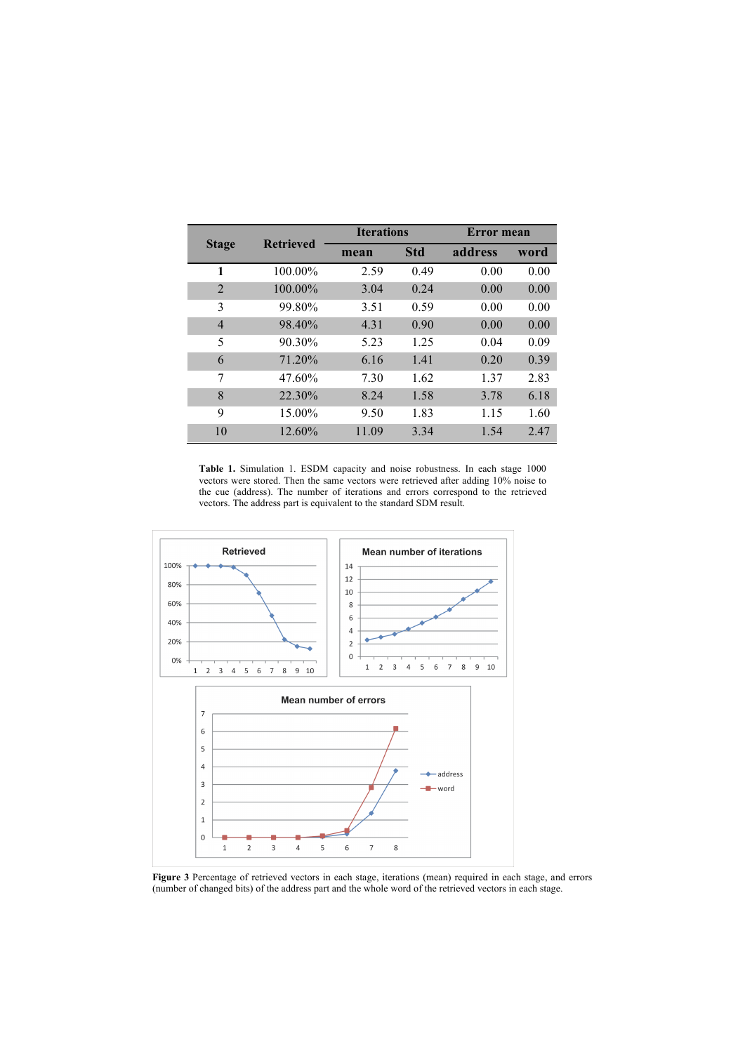|                | <b>Retrieved</b> | <b>Iterations</b> |            | <b>Error</b> mean |      |
|----------------|------------------|-------------------|------------|-------------------|------|
| <b>Stage</b>   |                  | mean              | <b>Std</b> | address           | word |
| 1              | $100.00\%$       | 2.59              | 0.49       | 0.00              | 0.00 |
| $\overline{2}$ | 100.00%          | 3.04              | 0.24       | 0.00              | 0.00 |
| 3              | 99.80%           | 3.51              | 0.59       | 0.00              | 0.00 |
| $\overline{4}$ | 98.40%           | 4.31              | 0.90       | 0.00              | 0.00 |
| 5              | 90.30%           | 5.23              | 1.25       | 0.04              | 0.09 |
| 6              | 71.20%           | 6.16              | 1.41       | 0.20              | 0.39 |
| 7              | 47.60%           | 7.30              | 1.62       | 1.37              | 2.83 |
| 8              | 22.30%           | 8.24              | 1.58       | 3.78              | 6.18 |
| 9              | 15.00%           | 9.50              | 1.83       | 1.15              | 1.60 |
| 10             | $12.60\%$        | 11.09             | 3.34       | 1.54              | 2.47 |

**Table 1.** Simulation 1. ESDM capacity and noise robustness. In each stage 1000 vectors were stored. Then the same vectors were retrieved after adding 10% noise to the cue (address). The number of iterations and errors correspond to the retrieved vectors. The address part is equivalent to the standard SDM result.



**Figure 3** Percentage of retrieved vectors in each stage, iterations (mean) required in each stage, and errors (number of changed bits) of the address part and the whole word of the retrieved vectors in each stage.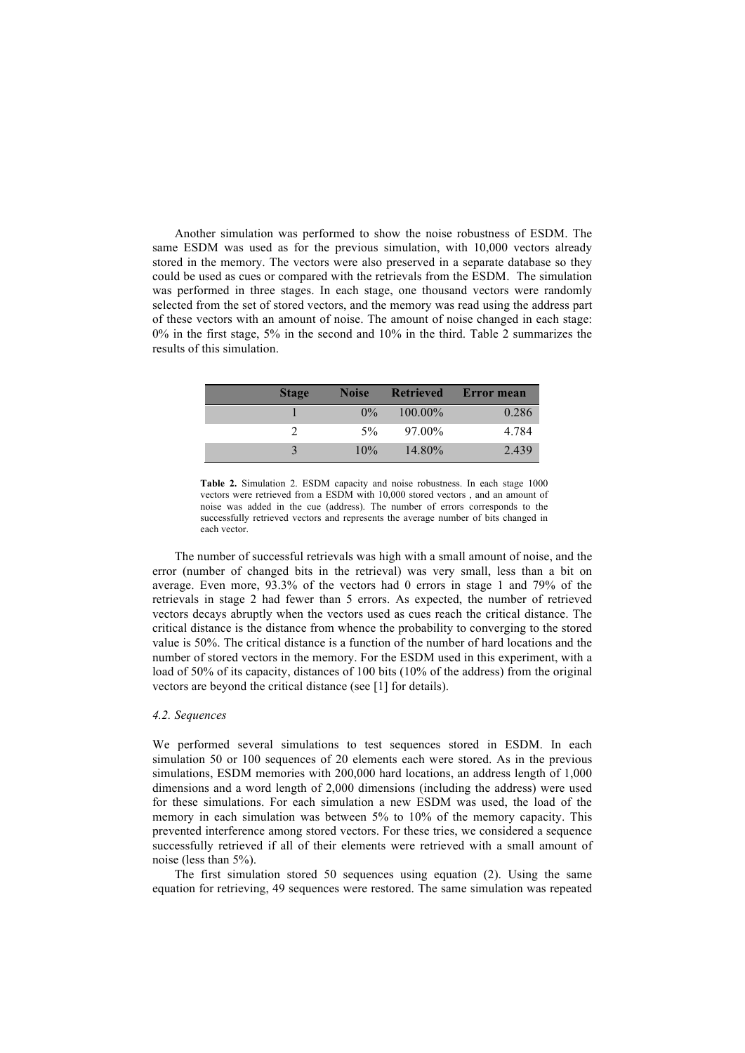Another simulation was performed to show the noise robustness of ESDM. The same ESDM was used as for the previous simulation, with 10,000 vectors already stored in the memory. The vectors were also preserved in a separate database so they could be used as cues or compared with the retrievals from the ESDM. The simulation was performed in three stages. In each stage, one thousand vectors were randomly selected from the set of stored vectors, and the memory was read using the address part of these vectors with an amount of noise. The amount of noise changed in each stage: 0% in the first stage, 5% in the second and 10% in the third. Table 2 summarizes the results of this simulation.

| <b>Stage</b> | <b>Noise</b> | <b>Retrieved</b> | <b>Error</b> mean |
|--------------|--------------|------------------|-------------------|
|              | $0\%$        | $100.00\%$       | 0.286             |
|              | $5\%$        | 97.00%           | 4.784             |
|              | $10\%$       | 14.80%           | 2.439             |

**Table 2.** Simulation 2. ESDM capacity and noise robustness. In each stage 1000 vectors were retrieved from a ESDM with 10,000 stored vectors , and an amount of noise was added in the cue (address). The number of errors corresponds to the successfully retrieved vectors and represents the average number of bits changed in each vector.

The number of successful retrievals was high with a small amount of noise, and the error (number of changed bits in the retrieval) was very small, less than a bit on average. Even more, 93.3% of the vectors had 0 errors in stage 1 and 79% of the retrievals in stage 2 had fewer than 5 errors. As expected, the number of retrieved vectors decays abruptly when the vectors used as cues reach the critical distance. The critical distance is the distance from whence the probability to converging to the stored value is 50%. The critical distance is a function of the number of hard locations and the number of stored vectors in the memory. For the ESDM used in this experiment, with a load of 50% of its capacity, distances of 100 bits (10% of the address) from the original vectors are beyond the critical distance (see [1] for details).

### *4.2. Sequences*

We performed several simulations to test sequences stored in ESDM. In each simulation 50 or 100 sequences of 20 elements each were stored. As in the previous simulations, ESDM memories with 200,000 hard locations, an address length of 1,000 dimensions and a word length of 2,000 dimensions (including the address) were used for these simulations. For each simulation a new ESDM was used, the load of the memory in each simulation was between 5% to 10% of the memory capacity. This prevented interference among stored vectors. For these tries, we considered a sequence successfully retrieved if all of their elements were retrieved with a small amount of noise (less than 5%).

The first simulation stored 50 sequences using equation (2). Using the same equation for retrieving, 49 sequences were restored. The same simulation was repeated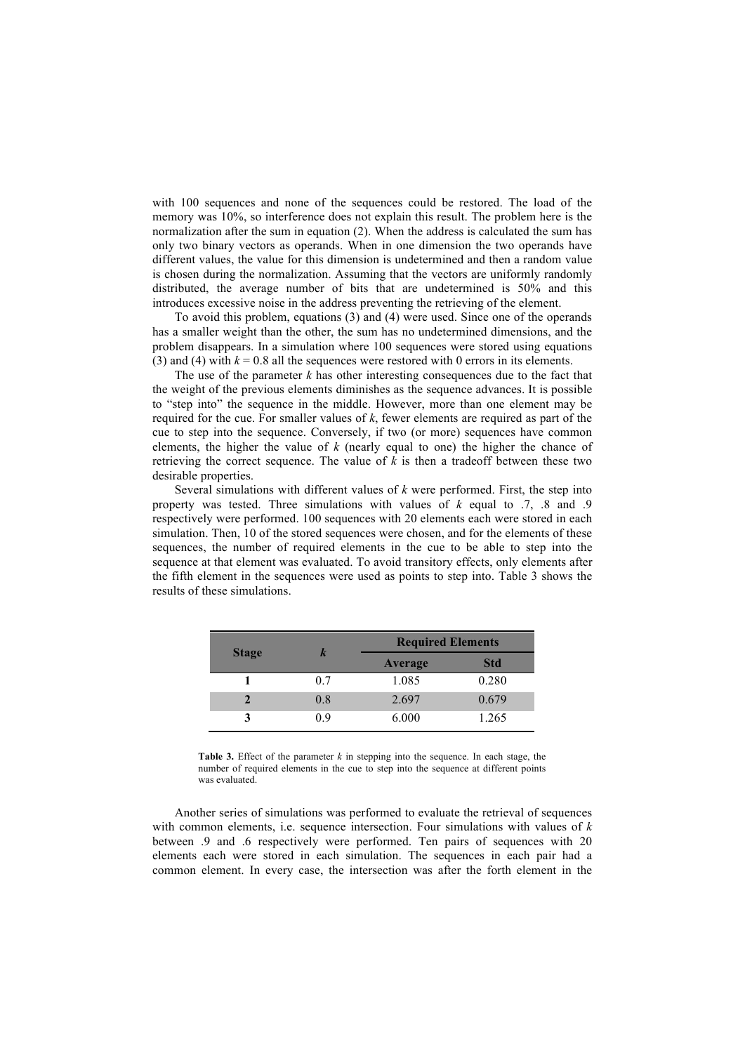with 100 sequences and none of the sequences could be restored. The load of the memory was 10%, so interference does not explain this result. The problem here is the normalization after the sum in equation (2). When the address is calculated the sum has only two binary vectors as operands. When in one dimension the two operands have different values, the value for this dimension is undetermined and then a random value is chosen during the normalization. Assuming that the vectors are uniformly randomly distributed, the average number of bits that are undetermined is 50% and this introduces excessive noise in the address preventing the retrieving of the element.

To avoid this problem, equations (3) and (4) were used. Since one of the operands has a smaller weight than the other, the sum has no undetermined dimensions, and the problem disappears. In a simulation where 100 sequences were stored using equations (3) and (4) with  $k = 0.8$  all the sequences were restored with 0 errors in its elements.

The use of the parameter *k* has other interesting consequences due to the fact that the weight of the previous elements diminishes as the sequence advances. It is possible to "step into" the sequence in the middle. However, more than one element may be required for the cue. For smaller values of *k*, fewer elements are required as part of the cue to step into the sequence. Conversely, if two (or more) sequences have common elements, the higher the value of *k* (nearly equal to one) the higher the chance of retrieving the correct sequence. The value of  $k$  is then a tradeoff between these two desirable properties.

Several simulations with different values of *k* were performed. First, the step into property was tested. Three simulations with values of *k* equal to .7, .8 and .9 respectively were performed. 100 sequences with 20 elements each were stored in each simulation. Then, 10 of the stored sequences were chosen, and for the elements of these sequences, the number of required elements in the cue to be able to step into the sequence at that element was evaluated. To avoid transitory effects, only elements after the fifth element in the sequences were used as points to step into. Table 3 shows the results of these simulations.

|              | k   | <b>Required Elements</b> |            |  |
|--------------|-----|--------------------------|------------|--|
| <b>Stage</b> |     | Average                  | <b>Std</b> |  |
|              | 07  | 1.085                    | 0.280      |  |
|              | 0.8 | 2.697                    | 0.679      |  |
|              | 09  | 6.000                    | 1.265      |  |

**Table 3.** Effect of the parameter *k* in stepping into the sequence. In each stage, the number of required elements in the cue to step into the sequence at different points was evaluated.

Another series of simulations was performed to evaluate the retrieval of sequences with common elements, i.e. sequence intersection. Four simulations with values of *k* between .9 and .6 respectively were performed. Ten pairs of sequences with 20 elements each were stored in each simulation. The sequences in each pair had a common element. In every case, the intersection was after the forth element in the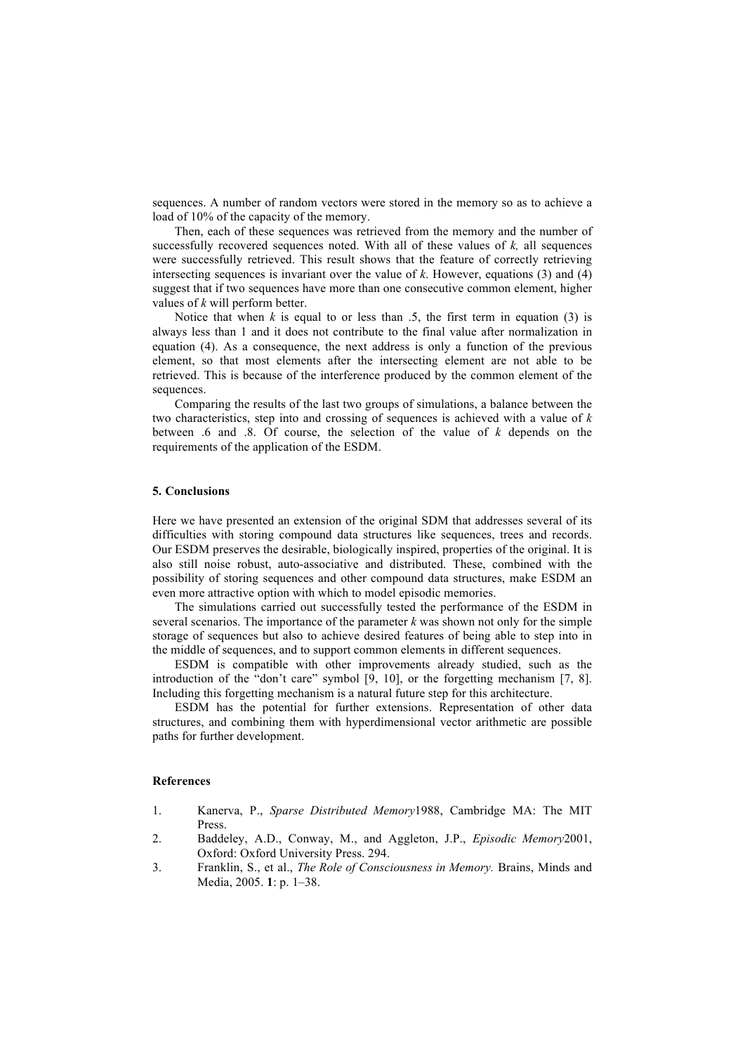sequences. A number of random vectors were stored in the memory so as to achieve a load of 10% of the capacity of the memory.

Then, each of these sequences was retrieved from the memory and the number of successfully recovered sequences noted. With all of these values of *k,* all sequences were successfully retrieved. This result shows that the feature of correctly retrieving intersecting sequences is invariant over the value of *k*. However, equations (3) and (4) suggest that if two sequences have more than one consecutive common element, higher values of *k* will perform better.

Notice that when  $k$  is equal to or less than .5, the first term in equation (3) is always less than 1 and it does not contribute to the final value after normalization in equation (4). As a consequence, the next address is only a function of the previous element, so that most elements after the intersecting element are not able to be retrieved. This is because of the interference produced by the common element of the sequences.

Comparing the results of the last two groups of simulations, a balance between the two characteristics, step into and crossing of sequences is achieved with a value of *k* between .6 and .8. Of course, the selection of the value of *k* depends on the requirements of the application of the ESDM.

## **5. Conclusions**

Here we have presented an extension of the original SDM that addresses several of its difficulties with storing compound data structures like sequences, trees and records. Our ESDM preserves the desirable, biologically inspired, properties of the original. It is also still noise robust, auto-associative and distributed. These, combined with the possibility of storing sequences and other compound data structures, make ESDM an even more attractive option with which to model episodic memories.

The simulations carried out successfully tested the performance of the ESDM in several scenarios. The importance of the parameter *k* was shown not only for the simple storage of sequences but also to achieve desired features of being able to step into in the middle of sequences, and to support common elements in different sequences.

ESDM is compatible with other improvements already studied, such as the introduction of the "don't care" symbol [9, 10], or the forgetting mechanism [7, 8]. Including this forgetting mechanism is a natural future step for this architecture.

ESDM has the potential for further extensions. Representation of other data structures, and combining them with hyperdimensional vector arithmetic are possible paths for further development.

## **References**

- 1. Kanerva, P., *Sparse Distributed Memory*1988, Cambridge MA: The MIT Press.
- 2. Baddeley, A.D., Conway, M., and Aggleton, J.P., *Episodic Memory*2001, Oxford: Oxford University Press. 294.
- 3. Franklin, S., et al., *The Role of Consciousness in Memory.* Brains, Minds and Media, 2005. **1**: p. 1–38.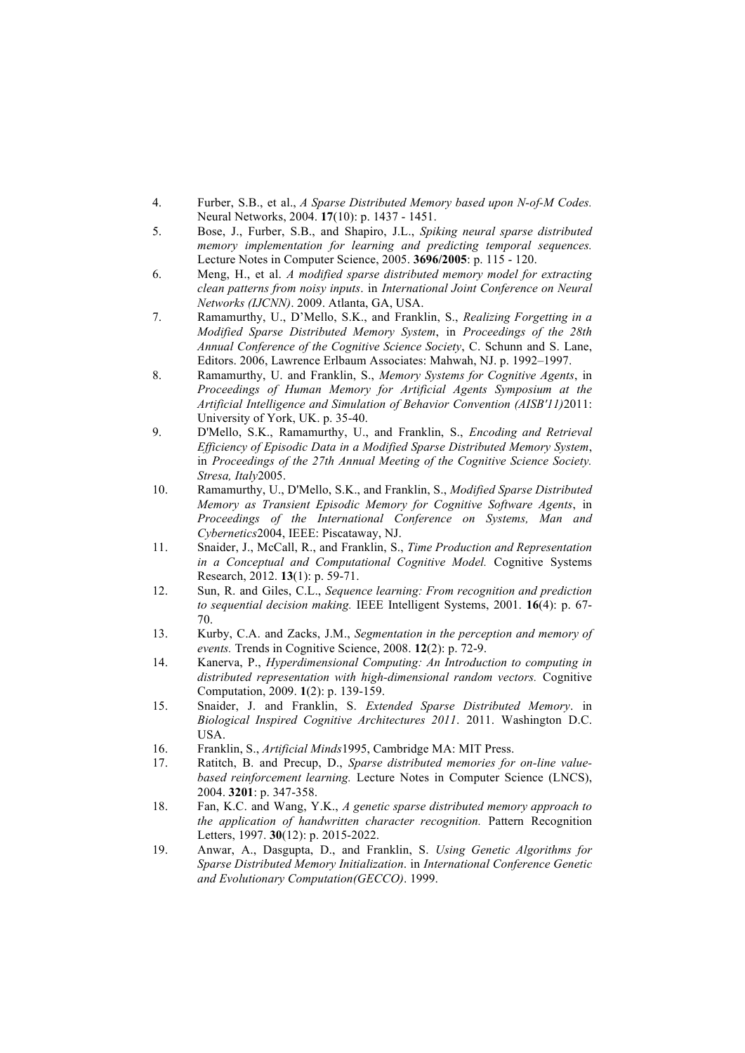- 4. Furber, S.B., et al., *A Sparse Distributed Memory based upon N-of-M Codes.* Neural Networks, 2004. **17**(10): p. 1437 - 1451.
- 5. Bose, J., Furber, S.B., and Shapiro, J.L., *Spiking neural sparse distributed memory implementation for learning and predicting temporal sequences.* Lecture Notes in Computer Science, 2005. **3696/2005**: p. 115 - 120.
- 6. Meng, H., et al. *A modified sparse distributed memory model for extracting clean patterns from noisy inputs*. in *International Joint Conference on Neural Networks (IJCNN)*. 2009. Atlanta, GA, USA.
- 7. Ramamurthy, U., D'Mello, S.K., and Franklin, S., *Realizing Forgetting in a Modified Sparse Distributed Memory System*, in *Proceedings of the 28th Annual Conference of the Cognitive Science Society*, C. Schunn and S. Lane, Editors. 2006, Lawrence Erlbaum Associates: Mahwah, NJ. p. 1992–1997.
- 8. Ramamurthy, U. and Franklin, S., *Memory Systems for Cognitive Agents*, in *Proceedings of Human Memory for Artificial Agents Symposium at the Artificial Intelligence and Simulation of Behavior Convention (AISB'11)*2011: University of York, UK. p. 35-40.
- 9. D'Mello, S.K., Ramamurthy, U., and Franklin, S., *Encoding and Retrieval Efficiency of Episodic Data in a Modified Sparse Distributed Memory System*, in *Proceedings of the 27th Annual Meeting of the Cognitive Science Society. Stresa, Italy*2005.
- 10. Ramamurthy, U., D'Mello, S.K., and Franklin, S., *Modified Sparse Distributed Memory as Transient Episodic Memory for Cognitive Software Agents*, in *Proceedings of the International Conference on Systems, Man and Cybernetics*2004, IEEE: Piscataway, NJ.
- 11. Snaider, J., McCall, R., and Franklin, S., *Time Production and Representation in a Conceptual and Computational Cognitive Model.* Cognitive Systems Research, 2012. **13**(1): p. 59-71.
- 12. Sun, R. and Giles, C.L., *Sequence learning: From recognition and prediction to sequential decision making.* IEEE Intelligent Systems, 2001. **16**(4): p. 67- 70.
- 13. Kurby, C.A. and Zacks, J.M., *Segmentation in the perception and memory of events.* Trends in Cognitive Science, 2008. **12**(2): p. 72-9.
- 14. Kanerva, P., *Hyperdimensional Computing: An Introduction to computing in distributed representation with high-dimensional random vectors.* Cognitive Computation, 2009. **1**(2): p. 139-159.
- 15. Snaider, J. and Franklin, S. *Extended Sparse Distributed Memory*. in *Biological Inspired Cognitive Architectures 2011*. 2011. Washington D.C. **USA**
- 16. Franklin, S., *Artificial Minds*1995, Cambridge MA: MIT Press.
- 17. Ratitch, B. and Precup, D., *Sparse distributed memories for on-line valuebased reinforcement learning.* Lecture Notes in Computer Science (LNCS), 2004. **3201**: p. 347-358.
- 18. Fan, K.C. and Wang, Y.K., *A genetic sparse distributed memory approach to the application of handwritten character recognition.* Pattern Recognition Letters, 1997. **30**(12): p. 2015-2022.
- 19. Anwar, A., Dasgupta, D., and Franklin, S. *Using Genetic Algorithms for Sparse Distributed Memory Initialization*. in *International Conference Genetic and Evolutionary Computation(GECCO)*. 1999.